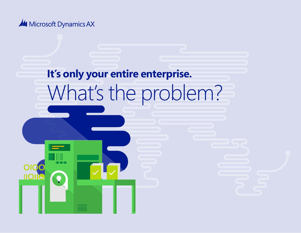

# **It's only your entire enterprise.** What's the problem?

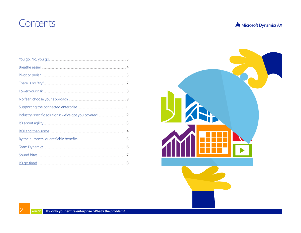### <span id="page-1-0"></span>Contents

| Microsoft Dynamics AX |  |
|-----------------------|--|
|-----------------------|--|

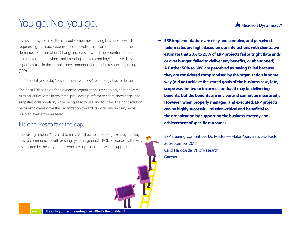#### **All** Microsoft Dynamics AX

# <span id="page-2-0"></span>You go. No, you go.

It's never easy to make the call, but sometimes moving business forward requires a great leap. Systems need to evolve to accommodate real-time demands for information. Change involves risk, and the potential for failure is a constant threat when implementing a new technology initiative. This is especially true in the complex environment of enterprise resource planning (ERP).

In a "need-it-yesterday" environment, your ERP technology has to deliver.

The right ERP solution for a dynamic organization is technology that delivers mission-critical data in real time, provides a platform to share knowledge, and simplifies collaboration, while being easy to use and to scale. The right solution helps employees drive the organization toward its goals, and in turn, helps build an even stronger team.

#### No one likes to take the leap.

The wrong solution? It's hard to miss: you'll be able to recognize it by the way it fails to communicate with existing systems, generate ROI, or, worse, by the way it's ignored by the very people who are supposed to use and support it.

 $\rightarrow$  **ERP implementations are risky and complex, and perceived failure rates are high. Based on our interactions with clients, we estimate that 20% to 25% of ERP projects fail outright (late and/ or over budget, failed to deliver any benefits, or abandoned). A further 50% to 60% are perceived as having failed because they are considered compromised by the organization in some way (did not achieve the stated goals of the business case, late, scope was limited or incorrect, or that it may be delivering benefits, but the benefits are unclear and cannot be measured). However, when properly managed and executed, ERP projects can be highly successful, mission-critical and beneficial to the organization by supporting the business strategy and achievement of specific outcomes.**

ERP Steering Committees Do Matter — Make Yours a Success Factor 20 September 2013 Carol Hardcastle, VP of Research **Gartner**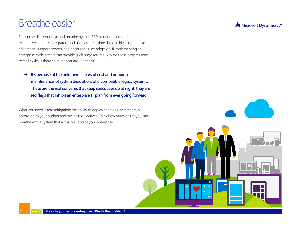### <span id="page-3-0"></span>Breathe easier

Enterprises like yours live and breathe by their ERP solution. You need it to be responsive and fully integrated, and give fast, real-time data to drive competitive advantage, support growth, and encourage user adoption. If implementing an enterprise-wide system can provide such huge returns, why do these projects tend to stall? Why is there so much fear around them?

 $\rightarrow$  It's because of the unknown—fears of cost and ongoing **maintenance, of system disruption, of incompatible legacy systems. These are the real concerns that keep executives up at night; they are red flags that inhibit an enterprise IT plan from ever going forward.**

What you need is fear mitigation: the ability to deploy solutions incrementally, according to your budget and business objectives. Think how much easier you can breathe with a system that actually supports your enterprise.

#### Microsoft Dynamics AX

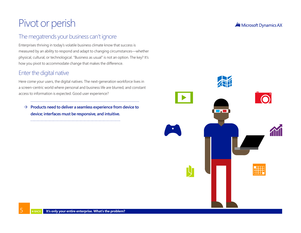# <span id="page-4-0"></span>Pivot or perish

### The megatrends your business can't ignore

Enterprises thriving in today's volatile business climate know that success is measured by an ability to respond and adapt to changing circumstances—whether physical, cultural, or technological. "Business as usual" is not an option. The key? It's how you pivot to accommodate change that makes the difference.

### Enter the digital native

Here come your users, the digital natives. The next-generation workforce lives in a screen-centric world where personal and business life are blurred, and constant access to information is expected. Good user experience?

 $\rightarrow$  Products need to deliver a seamless experience from device to **device; interfaces must be responsive, and intuitive.**



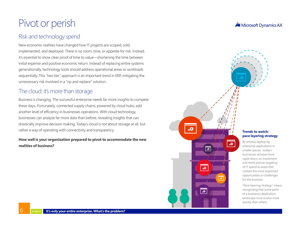### Pivot or perish

### Risk and technology spend

New economic realities have changed how IT projects are scoped, sold, implemented, and deployed. There is no room, time, or appetite for risk. Instead, it's essential to show clear proof of time to value—shortening the time between initial expense and positive economic return. Instead of replacing entire systems generationally, technology tools should address operational areas or workloads sequentially. This "two tier" approach is an important trend in ERP, mitigating the unnecessary risk involved in a "rip and replace" solution.

#### The cloud: it's more than storage

Business is changing. The successful enterprise needs far more insights to compete these days. Fortunately, connected supply chains, powered by cloud hubs, add another level of efficiency in businesses operations. With cloud technology, businesses can analyze far more data than before, revealing insights that can drastically improve decision making. Today's cloud is not about storage at all, but rather a way of operating with connectivity and transparency.

#### **How well is your organization prepared to pivot to accommodate the new realities of business?**

#### **M** Microsoft Dynamics AX



By actively deploying enterprise applications in smaller pieces, today's businesses achieve more rapid return on investment and more precise targeting of IT spend to areas that contain the most important opportunities or challenges for the business.

"Pace layering strategy" means recognizing that some parts of a business's application landscape must evolve more quickly than others.

l

 $\partial \mathbf{Q}$ 

 $\overline{\bullet}$ 

 $\overline{\mathcal{L}}$ 

að.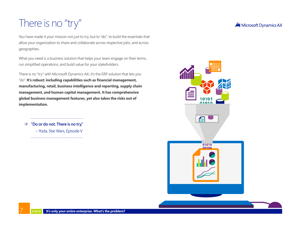# <span id="page-6-0"></span>There is no "try"

You have made it your mission not just to try, but to "do": to build the essentials that allow your organization to share and collaborate across respective jobs, and across geographies.

What you need is a business solution that helps your team engage on their terms, run simplified operations, and build value for your stakeholders.

There is no "try" with Microsoft Dynamics AX; it's the ERP solution that lets you "do". **It's robust: including capabilities such as financial management, manufacturing, retail, business intelligence and reporting, supply chain management, and human capital management. It has comprehensive global business management features, yet also takes the risks out of implementation.**

 $\rightarrow$  "Do or do not. There is no try."

– Yoda, Star Wars, Episode V

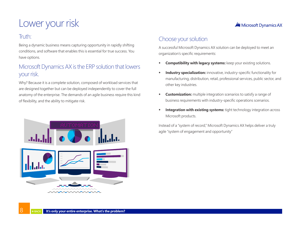# <span id="page-7-0"></span>Lower your risk

#### Truth:

Being a dynamic business means capturing opportunity in rapidly shifting conditions, and software that enables this is essential for true success. You have options.

### Microsoft Dynamics AX is the ERP solution that lowers your risk.

Why? Because it is a complete solution, composed of workload services that are designed together but can be deployed independently to cover the full anatomy of the enterprise. The demands of an agile business require this kind of flexibility, and the ability to mitigate risk.

### Choose your solution

A successful Microsoft Dynamics AX solution can be deployed to meet an organization's specific requirements:

- **Compatibility with legacy systems:** keep your existing solutions.
- **Industry specialization:** innovative, industry-specific functionality for manufacturing, distribution, retail, professional services, public sector, and other key industries.
- **Customization:** multiple integration scenarios to satisfy a range of business requirements with industry-specific operations scenarios.
- **Integration with existing systems:** tight technology integration across Microsoft products.

Instead of a "system of record," Microsoft Dynamics AX helps deliver a truly agile "system of engagement and opportunity"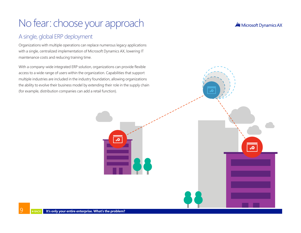# <span id="page-8-0"></span>No fear: choose your approach

### A single, global ERP deployment

Organizations with multiple operations can replace numerous legacy applications with a single, centralized implementation of Microsoft Dynamics AX, lowering IT maintenance costs and reducing training time.

With a company-wide integrated ERP solution, organizations can provide flexible access to a wide range of users within the organization. Capabilities that support multiple industries are included in the industry foundation, allowing organizations the ability to evolve their business model by extending their role in the supply chain (for example, distribution companies can add a retail function).

Microsoft Dynamics AX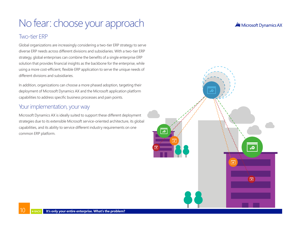# No fear: choose your approach

#### Two-tier ERP

Global organizations are increasingly considering a two-tier ERP strategy to serve diverse ERP needs across different divisions and subsidiaries. With a two-tier ERP strategy, global enterprises can combine the benefits of a single enterprise ERP solution that provides financial insights as the backbone for the enterprise, while using a more cost-efficient, flexible ERP application to serve the unique needs of different divisions and subsidiaries.

In addition, organizations can choose a more phased adoption, targeting their deployment of Microsoft Dynamics AX and the Microsoft application platform capabilities to address specific business processes and pain points.

### Your implementation, your way

Microsoft Dynamics AX is ideally suited to support these different deployment strategies due to its extensible Microsoft service-oriented architecture, its global capabilities, and its ability to service different industry requirements on one common ERP platform.

**M** Microsoft Dynamics AX

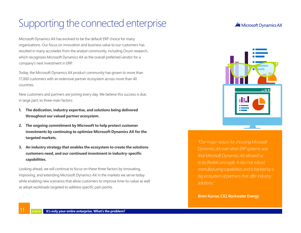## <span id="page-10-0"></span>Supporting the connected enterprise

Microsoft Dynamics AX has evolved to be the default ERP choice for many organizations. Our focus on innovation and business value to our customers has resulted in many accolades from the analyst community, including Ovum research, which recognizes Microsoft Dynamics AX as the overall preferred vendor for a company's next investment in ERP.

Today, the Microsoft Dynamics AX product community has grown to more than 17,000 customers with an extensive partner ecosystem across more than 40 countries.

New customers and partners are joining every day. We believe this success is due, in large part, to three main factors:

- **1. The dedication, industry expertise, and solutions being delivered throughout our valued partner ecosystem.**
- **2. The ongoing commitment by Microsoft to help protect customer investments by continuing to optimize Microsoft Dynamics AX for the targeted markets.**
- **3. An industry strategy that enables the ecosystem to create the solutions customers need, and our continued investment in industry-specific capabilities.**

Looking ahead, we will continue to focus on these three factors by innovating, improving, and extending Microsoft Dynamics AX in the markets we serve today while enabling new scenarios that allow customers to improve time-to-value as well as adopt workloads targeted to address specific pain points.

#### **All** Microsoft Dynamics AX



*"Our major reason for choosing Microsoft Dynamics AX over other ERP systems was that Microsoft Dynamics AX allowed us to be flexible and agile. It also has robust manufacturing capabilities and is backed by a big ecosystem of partners that offer industry solutions."*

**Biren Kumar, CIO, Rockwater Energy**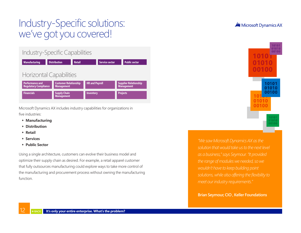### <span id="page-11-0"></span>Industry-Specific solutions: we've got you covered!

#### Industry-Specific Capabilities

**Management**



Microsoft Dynamics AX includes industry capabilities for organizations in five industries:

- **Manufacturing**
- **Distribution**
- **Retail**
- **Services**
- **Public Sector**

Using a single architecture, customers can evolve their business model and optimize their supply chain as desired. For example, a retail apparel customer that fully outsources manufacturing could explore ways to take more control of the manufacturing and procurement process without owning the manufacturing function.

**M** Microsoft Dynamics AX



*"We saw Microsoft Dynamics AX as the solution that would take us to the next level as a business," says Seymour. "It provided the range of modules we needed, so we wouldn't have to keep building point solutions, while also offering the flexibility to meet our industry requirements."*

**Brian Seymour, CIO , Keller Foundations**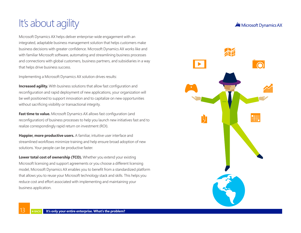# <span id="page-12-0"></span>It's about agility

Microsoft Dynamics AX helps deliver enterprise-wide engagement with an integrated, adaptable business management solution that helps customers make business decisions with greater confidence. Microsoft Dynamics AX works like and with familiar Microsoft software, automating and streamlining business processes and connections with global customers, business partners, and subsidiaries in a way that helps drive business success.

Implementing a Microsoft Dynamics AX solution drives results:

**Increased agility.** With business solutions that allow fast configuration and reconfiguration and rapid deployment of new applications, your organization will be well positioned to support innovation and to capitalize on new opportunities without sacrificing visibility or transactional integrity.

**Fast time to value.** Microsoft Dynamics AX allows fast configuration (and reconfiguration) of business processes to help you launch new initiatives fast and to realize correspondingly rapid return on investment (ROI).

**Happier, more productive users.** A familiar, intuitive user interface and streamlined workflows minimize training and help ensure broad adoption of new solutions. Your people can be productive faster.

**Lower total cost of ownership (TCO).** Whether you extend your existing Microsoft licensing and support agreements or you choose a different licensing model, Microsoft Dynamics AX enables you to benefit from a standardized platform that allows you to reuse your Microsoft technology stack and skills. This helps you reduce cost and effort associated with implementing and maintaining your business application.

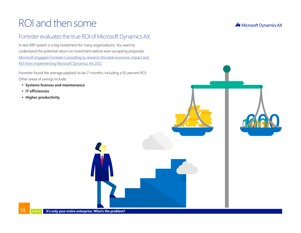### <span id="page-13-0"></span>ROI and then some

### Forrester evaluates the true ROI of Microsoft Dynamics AX

A new ERP system is a big investment for many organizations. You want to understand the potential return on investment before even accepting proposals. [Microsoft engaged Forrester Consulting to research the total economic impact and](https://www.dynamicscafe.com/erpsolutionconsultants/)  [ROI from implementing Microsoft Dynamics AX 2012.](https://www.dynamicscafe.com/erpsolutionconsultants/)

Forrester found the average payback to be 21 months, including a 92 percent ROI. Other areas of savings include:

- **Systems licenses and maintenance**
- **IT efficiencies**
- **Higher productivity**

Microsoft Dynamics AX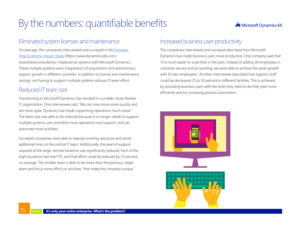# <span id="page-14-0"></span>By the numbers: quantifiable benefits

#### **All** Microsoft Dynamics AX

#### Eliminated system licenses and maintenance

On average, the companies interviewed and surveyed in the [Forrester](https://www.dynamicscafe.com/erpsolutionconsultants/)  [Total Economic Impact study](https://www.dynamicscafe.com/erpsolutionconsultants/) (https://www.dynamicscafe.com/ erpsolutionconsultants/ ) replaced six systems with Microsoft Dynamics. These multiple systems were a byproduct of acquisitions and autonomous, organic growth in different countries. In addition to license and maintenance savings, not having to support multiple systems reduces IT team effort.

#### Reduced IT team size

Transitioning to Microsoft Dynamics has resulted in a smaller, more-flexible IT organization. One interviewee said, "We can now move more quickly and are more agile. Dynamics has made supporting operations much easier." The team size was able to be reduced because it no longer needs to support multiple systems, can centralize more operations and support, and can automate more activities.

Surveyed companies were able to reassign existing resources and avoid additional hires on the central IT team. Additionally, the level of support required at the large, remote locations was significantly reduced. Each of the eight locations had one FTE, and that effort could be reduced by 25 percent, on average. The smaller team is able to do more than the previous, larger team and focus more effort on activities "that make the company unique."

#### Increased business user productivity

The companies interviewed and surveyed described how Microsoft Dynamics has made business users more productive. One company said that "it is much easier to scale than in the past. Instead of adding 30 employees in customer service and accounting, we were able to achieve the same growth with 10 new employees." Another interviewee described how logistics staff could be decreased 25 to 50 percent in different facilities. This is achieved by providing business users with the tools they need to do their jobs more efficiently and by increasing process automation.

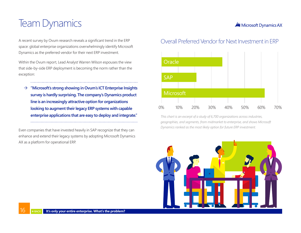### <span id="page-15-0"></span>Team Dynamics

A recent survey by Ovum research reveals a significant trend in the ERP space: global enterprise organizations overwhelmingly identify Microsoft Dynamics as the preferred vendor for their next ERP investment.

Within the Ovum report, Lead Analyst Warren Wilson espouses the view that side-by-side ERP deployment is becoming the norm rather than the exception:

 $\rightarrow$  "Microsoft's strong showing in Ovum's ICT Enterprise Insights **survey is hardly surprising. The company's Dynamics product line is an increasingly attractive option for organizations looking to augment their legacy ERP systems with capable enterprise applications that are easy to deploy and integrate."** 

Even companies that have invested heavily in SAP recognize that they can enhance and extend their legacy systems by adopting Microsoft Dynamics AX as a platform for operational ERP.

### Overall Preferred Vendor for Next Investment in ERP

**M** Microsoft Dynamics AX



*This chart is an excerpt of a study of 6,700 organizations across industries, geographies, and segments, from midmarket to enterprise, and shows Microsoft Dynamics ranked as the most likely option for future ERP investment.*

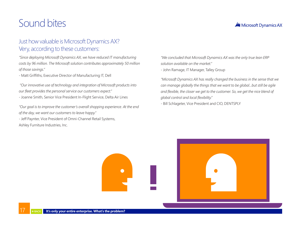### <span id="page-16-0"></span>Sound bites

#### **M** Microsoft Dynamics AX

#### Just how valuable is Microsoft Dynamics AX? Very, according to these customers:

*"Since deploying Microsoft Dynamics AX, we have reduced IT manufacturing costs by 96 million. The Microsoft solution contributes approximately 50 million of those savings."*

- Matt Griffiths, Executive Director of Manufacturing IT, Dell

 *"Our innovative use of technology and integration of Microsoft products into our fleet provides the personal service our customers expect."*

- Joanne Smith, Senior Vice President In-Flight Service, Delta Air Lines

*"Our goal is to improve the customer's overall shopping experience. At the end of the day, we want our customers to leave happy."* 

- Jeff Paynter, Vice President of Omni-Channel Retail Systems, Ashley Furniture Industries, Inc.

*"We concluded that Microsoft Dynamics AX was the only true lean ERP solution available on the market."*

- John Ramage, IT Manager, Talley Group

*"Microsoft Dynamics AX has really changed the business in the sense that we can manage globally the things that we want to be global...but still be agile and flexible, the closer we get to the customer. So, we get the nice blend of global control and local flexibility."*

- Bill Schlageter, Vice President and CIO, DENTSPLY

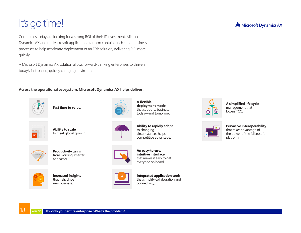# <span id="page-17-0"></span>It's go time!

Companies today are looking for a strong ROI of their IT investment. Microsoft Dynamics AX and the Microsoft application platform contain a rich set of business processes to help accelerate deployment of an ERP solution, delivering ROI more quickly.

A Microsoft Dynamics AX solution allows forward-thinking enterprises to thrive in today's fast-paced, quickly changing environment.

#### **Across the operational ecosystem, Microsoft Dynamics AX helps deliver:**



**Fast time to value.**



**Ability to scale**  to meet global growth.



**Productivity gains** from working smarter and faster.



**Increased insights**  that help drive new business.



**A flexible deployment model** that supports business today—and tomorrow.

**Ability to rapidly adapt** to changing circumstances helps competitive advantage.



**An easy-to-use, intuitive interface**  that makes it easy to get everyone on board.



**Integrated application tools**  that simplify collaboration and connectivity.



**A simplified life cycle**  management that lowers TCO.



**Pervasive interoperability**  that takes advantage of the power of the Microsoft platform.